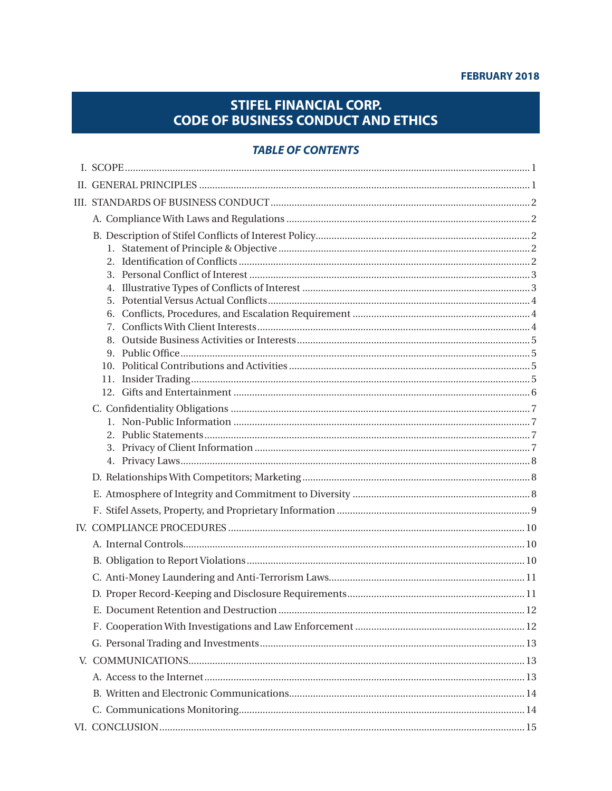#### **FEBRUARY 2018**

# **STIFEL FINANCIAL CORP. CODE OF BUSINESS CONDUCT AND ETHICS**

## **TABLE OF CONTENTS**

| 4. |  |
|----|--|
| 5. |  |
|    |  |
|    |  |
|    |  |
|    |  |
|    |  |
|    |  |
|    |  |
|    |  |
|    |  |
|    |  |
|    |  |
|    |  |
|    |  |
|    |  |
|    |  |
|    |  |
|    |  |
|    |  |
|    |  |
|    |  |
|    |  |
|    |  |
|    |  |
|    |  |
|    |  |
|    |  |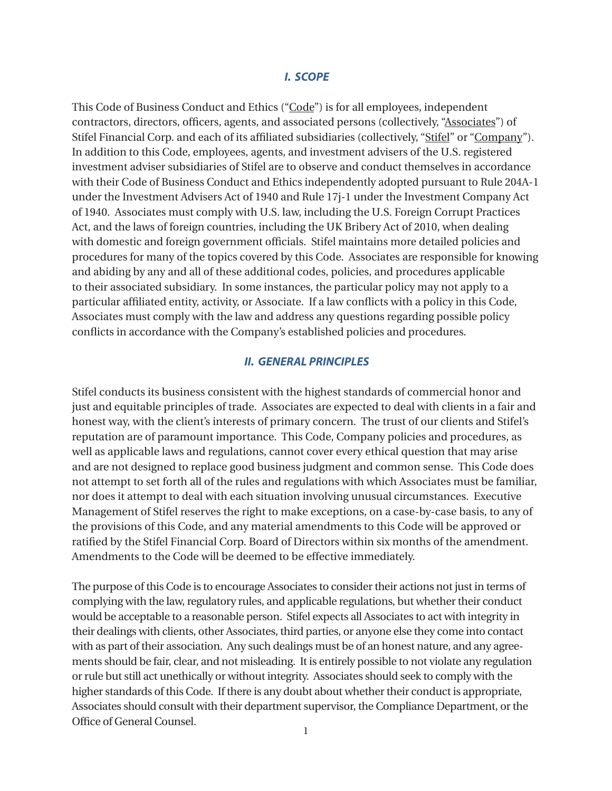#### *I. SCOPE*

This Code of Business Conduct and Ethics ("Code") is for all employees, independent contractors, directors, officers, agents, and associated persons (collectively, "Associates") of Stifel Financial Corp. and each of its affiliated subsidiaries (collectively, "Stifel" or "Company"). In addition to this Code, employees, agents, and investment advisers of the U.S. registered investment adviser subsidiaries of Stifel are to observe and conduct themselves in accordance with their Code of Business Conduct and Ethics independently adopted pursuant to Rule 204A-1 under the Investment Advisers Act of 1940 and Rule 17j-1 under the Investment Company Act of 1940. Associates must comply with U.S. law, including the U.S. Foreign Corrupt Practices Act, and the laws of foreign countries, including the UK Bribery Act of 2010, when dealing with domestic and foreign government officials. Stifel maintains more detailed policies and procedures for many of the topics covered by this Code. Associates are responsible for knowing and abiding by any and all of these additional codes, policies, and procedures applicable to their associated subsidiary. In some instances, the particular policy may not apply to a particular affiliated entity, activity, or Associate. If a law conflicts with a policy in this Code, Associates must comply with the law and address any questions regarding possible policy conflicts in accordance with the Company's established policies and procedures.

### *II. GENERAL PRINCIPLES*

Stifel conducts its business consistent with the highest standards of commercial honor and just and equitable principles of trade. Associates are expected to deal with clients in a fair and honest way, with the client's interests of primary concern. The trust of our clients and Stifel's reputation are of paramount importance. This Code, Company policies and procedures, as well as applicable laws and regulations, cannot cover every ethical question that may arise and are not designed to replace good business judgment and common sense. This Code does not attempt to set forth all of the rules and regulations with which Associates must be familiar, nor does it attempt to deal with each situation involving unusual circumstances. Executive Management of Stifel reserves the right to make exceptions, on a case-by-case basis, to any of the provisions of this Code, and any material amendments to this Code will be approved or ratified by the Stifel Financial Corp. Board of Directors within six months of the amendment. Amendments to the Code will be deemed to be effective immediately.

The purpose of this Code is to encourage Associates to consider their actions not just in terms of complying with the law, regulatory rules, and applicable regulations, but whether their conduct would be acceptable to a reasonable person. Stifel expects all Associates to act with integrity in their dealings with clients, other Associates, third parties, or anyone else they come into contact with as part of their association. Any such dealings must be of an honest nature, and any agreements should be fair, clear, and not misleading. It is entirely possible to not violate any regulation or rule but still act unethically or without integrity. Associates should seek to comply with the higher standards of this Code. If there is any doubt about whether their conduct is appropriate, Associates should consult with their department supervisor, the Compliance Department, or the Office of General Counsel.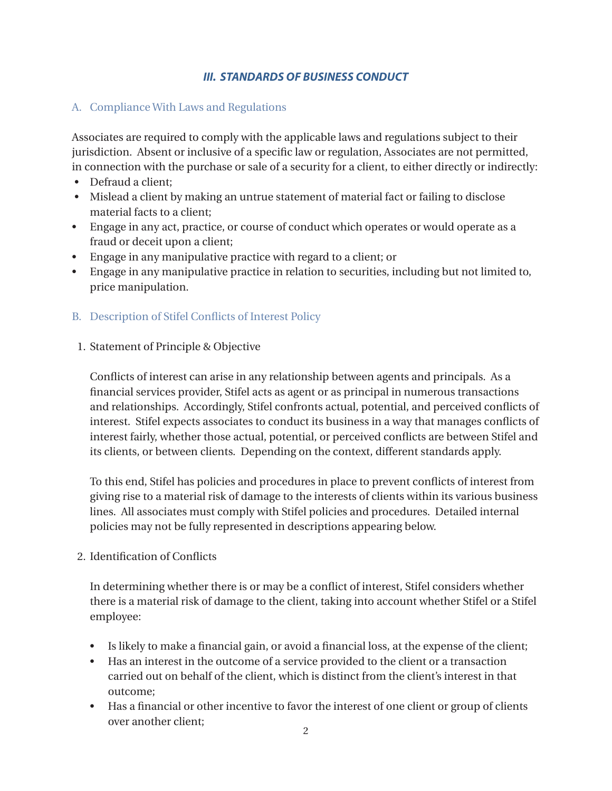# *III. STANDARDS OF BUSINESS CONDUCT*

# A. Compliance With Laws and Regulations

Associates are required to comply with the applicable laws and regulations subject to their jurisdiction. Absent or inclusive of a specific law or regulation, Associates are not permitted, in connection with the purchase or sale of a security for a client, to either directly or indirectly:

- Defraud a client;
- Mislead a client by making an untrue statement of material fact or failing to disclose material facts to a client;
- Engage in any act, practice, or course of conduct which operates or would operate as a fraud or deceit upon a client;
- Engage in any manipulative practice with regard to a client; or
- Engage in any manipulative practice in relation to securities, including but not limited to, price manipulation.
- B. Description of Stifel Conflicts of Interest Policy
- 1. Statement of Principle & Objective

 Conflicts of interest can arise in any relationship between agents and principals. As a financial services provider, Stifel acts as agent or as principal in numerous transactions and relationships. Accordingly, Stifel confronts actual, potential, and perceived conflicts of interest. Stifel expects associates to conduct its business in a way that manages conflicts of interest fairly, whether those actual, potential, or perceived conflicts are between Stifel and its clients, or between clients. Depending on the context, different standards apply.

 To this end, Stifel has policies and procedures in place to prevent conflicts of interest from giving rise to a material risk of damage to the interests of clients within its various business lines. All associates must comply with Stifel policies and procedures. Detailed internal policies may not be fully represented in descriptions appearing below.

2. Identification of Conflicts

 In determining whether there is or may be a conflict of interest, Stifel considers whether there is a material risk of damage to the client, taking into account whether Stifel or a Stifel employee:

- Is likely to make a financial gain, or avoid a financial loss, at the expense of the client;
- Has an interest in the outcome of a service provided to the client or a transaction carried out on behalf of the client, which is distinct from the client's interest in that outcome;
- Has a financial or other incentive to favor the interest of one client or group of clients over another client;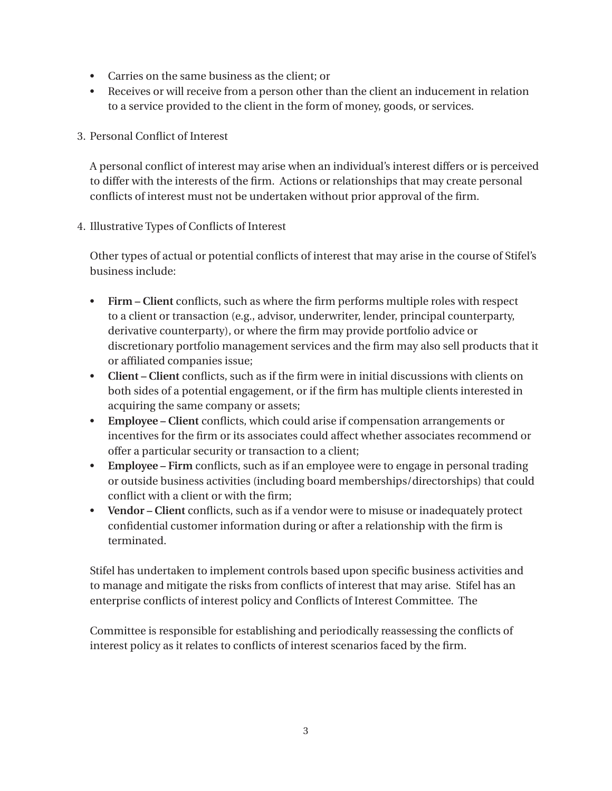- Carries on the same business as the client; or
- Receives or will receive from a person other than the client an inducement in relation to a service provided to the client in the form of money, goods, or services.
- 3. Personal Conflict of Interest

 A personal conflict of interest may arise when an individual's interest differs or is perceived to differ with the interests of the firm. Actions or relationships that may create personal conflicts of interest must not be undertaken without prior approval of the firm.

4. Illustrative Types of Conflicts of Interest

Other types of actual or potential conflicts of interest that may arise in the course of Stifel's business include:

- **Firm Client** conflicts, such as where the firm performs multiple roles with respect to a client or transaction (e.g., advisor, underwriter, lender, principal counterparty, derivative counterparty), or where the firm may provide portfolio advice or discretionary portfolio management services and the firm may also sell products that it or affiliated companies issue;
- **Client Client** conflicts, such as if the firm were in initial discussions with clients on both sides of a potential engagement, or if the firm has multiple clients interested in acquiring the same company or assets;
- **Employee Client** conflicts, which could arise if compensation arrangements or incentives for the firm or its associates could affect whether associates recommend or offer a particular security or transaction to a client;
- **Employee Firm** conflicts, such as if an employee were to engage in personal trading or outside business activities (including board memberships/directorships) that could conflict with a client or with the firm;
- **Vendor Client** conflicts, such as if a vendor were to misuse or inadequately protect confidential customer information during or after a relationship with the firm is terminated.

Stifel has undertaken to implement controls based upon specific business activities and to manage and mitigate the risks from conflicts of interest that may arise. Stifel has an enterprise conflicts of interest policy and Conflicts of Interest Committee. The

 Committee is responsible for establishing and periodically reassessing the conflicts of interest policy as it relates to conflicts of interest scenarios faced by the firm.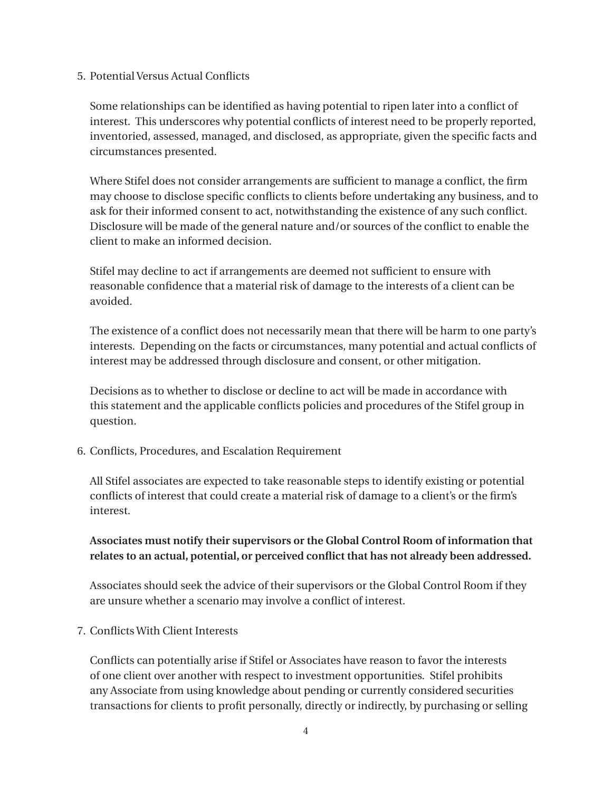### 5. Potential Versus Actual Conflicts

 Some relationships can be identified as having potential to ripen later into a conflict of interest. This underscores why potential conflicts of interest need to be properly reported, inventoried, assessed, managed, and disclosed, as appropriate, given the specific facts and circumstances presented.

 Where Stifel does not consider arrangements are sufficient to manage a conflict, the firm may choose to disclose specific conflicts to clients before undertaking any business, and to ask for their informed consent to act, notwithstanding the existence of any such conflict. Disclosure will be made of the general nature and/or sources of the conflict to enable the client to make an informed decision.

 Stifel may decline to act if arrangements are deemed not sufficient to ensure with reasonable confidence that a material risk of damage to the interests of a client can be avoided.

 The existence of a conflict does not necessarily mean that there will be harm to one party's interests. Depending on the facts or circumstances, many potential and actual conflicts of interest may be addressed through disclosure and consent, or other mitigation.

 Decisions as to whether to disclose or decline to act will be made in accordance with this statement and the applicable conflicts policies and procedures of the Stifel group in question.

6. Conflicts, Procedures, and Escalation Requirement

 All Stifel associates are expected to take reasonable steps to identify existing or potential conflicts of interest that could create a material risk of damage to a client's or the firm's interest.

# **Associates must notify their supervisors or the Global Control Room of information that relates to an actual, potential, or perceived conflict that has not already been addressed.**

 Associates should seek the advice of their supervisors or the Global Control Room if they are unsure whether a scenario may involve a conflict of interest.

### 7. Conflicts With Client Interests

 Conflicts can potentially arise if Stifel or Associates have reason to favor the interests of one client over another with respect to investment opportunities. Stifel prohibits any Associate from using knowledge about pending or currently considered securities transactions for clients to profit personally, directly or indirectly, by purchasing or selling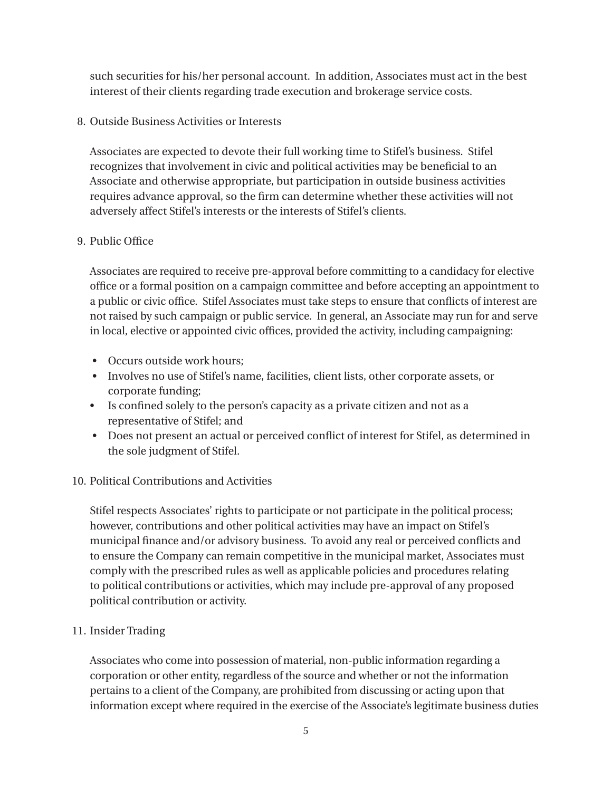such securities for his/her personal account. In addition, Associates must act in the best interest of their clients regarding trade execution and brokerage service costs.

8. Outside Business Activities or Interests

 Associates are expected to devote their full working time to Stifel's business. Stifel recognizes that involvement in civic and political activities may be beneficial to an Associate and otherwise appropriate, but participation in outside business activities requires advance approval, so the firm can determine whether these activities will not adversely affect Stifel's interests or the interests of Stifel's clients.

## 9. Public Office

 Associates are required to receive pre-approval before committing to a candidacy for elective office or a formal position on a campaign committee and before accepting an appointment to a public or civic office. Stifel Associates must take steps to ensure that conflicts of interest are not raised by such campaign or public service. In general, an Associate may run for and serve in local, elective or appointed civic offices, provided the activity, including campaigning:

- Occurs outside work hours;
- Involves no use of Stifel's name, facilities, client lists, other corporate assets, or corporate funding;
- Is confined solely to the person's capacity as a private citizen and not as a representative of Stifel; and
- Does not present an actual or perceived conflict of interest for Stifel, as determined in the sole judgment of Stifel.

# 10. Political Contributions and Activities

Stifel respects Associates' rights to participate or not participate in the political process; however, contributions and other political activities may have an impact on Stifel's municipal finance and/or advisory business. To avoid any real or perceived conflicts and to ensure the Company can remain competitive in the municipal market, Associates must comply with the prescribed rules as well as applicable policies and procedures relating to political contributions or activities, which may include pre-approval of any proposed political contribution or activity.

### 11. Insider Trading

Associates who come into possession of material, non-public information regarding a corporation or other entity, regardless of the source and whether or not the information pertains to a client of the Company, are prohibited from discussing or acting upon that information except where required in the exercise of the Associate's legitimate business duties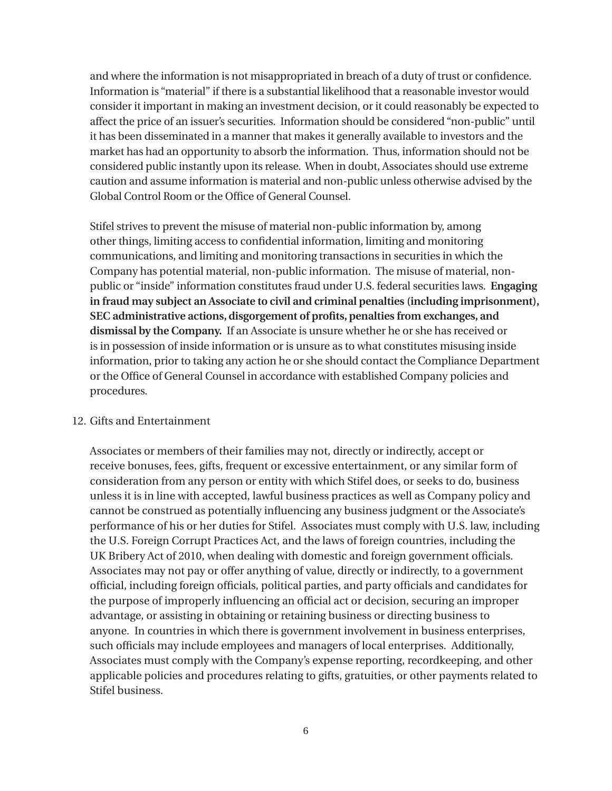and where the information is not misappropriated in breach of a duty of trust or confidence. Information is "material" if there is a substantial likelihood that a reasonable investor would consider it important in making an investment decision, or it could reasonably be expected to affect the price of an issuer's securities. Information should be considered "non-public" until it has been disseminated in a manner that makes it generally available to investors and the market has had an opportunity to absorb the information. Thus, information should not be considered public instantly upon its release. When in doubt, Associates should use extreme caution and assume information is material and non-public unless otherwise advised by the Global Control Room or the Office of General Counsel.

Stifel strives to prevent the misuse of material non-public information by, among other things, limiting access to confidential information, limiting and monitoring communications, and limiting and monitoring transactions in securities in which the Company has potential material, non-public information. The misuse of material, nonpublic or "inside" information constitutes fraud under U.S. federal securities laws. **Engaging in fraud may subject an Associate to civil and criminal penalties (including imprisonment), SEC administrative actions, disgorgement of profits, penalties from exchanges, and dismissal by the Company.** If an Associate is unsure whether he or she has received or is in possession of inside information or is unsure as to what constitutes misusing inside information, prior to taking any action he or she should contact the Compliance Department or the Office of General Counsel in accordance with established Company policies and procedures.

### 12. Gifts and Entertainment

Associates or members of their families may not, directly or indirectly, accept or receive bonuses, fees, gifts, frequent or excessive entertainment, or any similar form of consideration from any person or entity with which Stifel does, or seeks to do, business unless it is in line with accepted, lawful business practices as well as Company policy and cannot be construed as potentially influencing any business judgment or the Associate's performance of his or her duties for Stifel. Associates must comply with U.S. law, including the U.S. Foreign Corrupt Practices Act, and the laws of foreign countries, including the UK Bribery Act of 2010, when dealing with domestic and foreign government officials. Associates may not pay or offer anything of value, directly or indirectly, to a government official, including foreign officials, political parties, and party officials and candidates for the purpose of improperly influencing an official act or decision, securing an improper advantage, or assisting in obtaining or retaining business or directing business to anyone. In countries in which there is government involvement in business enterprises, such officials may include employees and managers of local enterprises. Additionally, Associates must comply with the Company's expense reporting, recordkeeping, and other applicable policies and procedures relating to gifts, gratuities, or other payments related to Stifel business.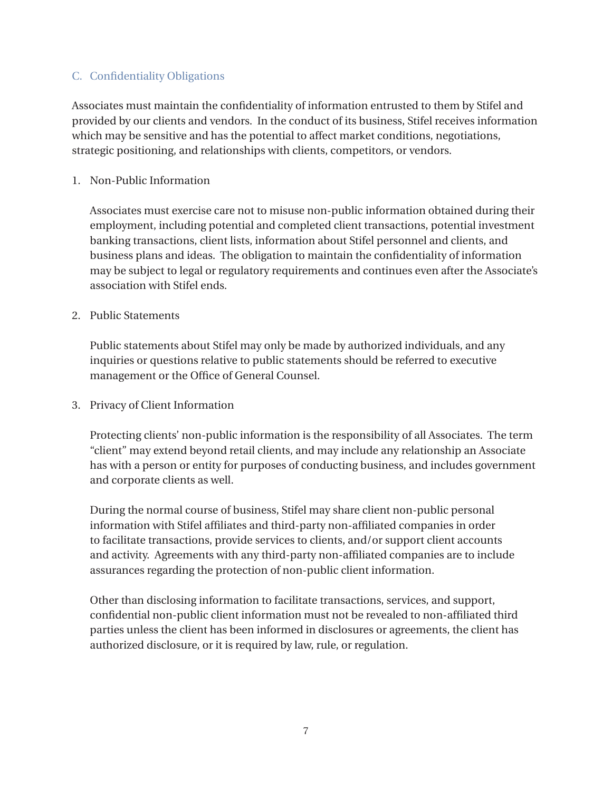## C. Confidentiality Obligations

Associates must maintain the confidentiality of information entrusted to them by Stifel and provided by our clients and vendors. In the conduct of its business, Stifel receives information which may be sensitive and has the potential to affect market conditions, negotiations, strategic positioning, and relationships with clients, competitors, or vendors.

### 1. Non-Public Information

Associates must exercise care not to misuse non-public information obtained during their employment, including potential and completed client transactions, potential investment banking transactions, client lists, information about Stifel personnel and clients, and business plans and ideas. The obligation to maintain the confidentiality of information may be subject to legal or regulatory requirements and continues even after the Associate's association with Stifel ends.

### 2. Public Statements

Public statements about Stifel may only be made by authorized individuals, and any inquiries or questions relative to public statements should be referred to executive management or the Office of General Counsel.

3. Privacy of Client Information

Protecting clients' non-public information is the responsibility of all Associates. The term "client" may extend beyond retail clients, and may include any relationship an Associate has with a person or entity for purposes of conducting business, and includes government and corporate clients as well.

During the normal course of business, Stifel may share client non-public personal information with Stifel affiliates and third-party non-affiliated companies in order to facilitate transactions, provide services to clients, and/or support client accounts and activity. Agreements with any third-party non-affiliated companies are to include assurances regarding the protection of non-public client information.

Other than disclosing information to facilitate transactions, services, and support, confidential non-public client information must not be revealed to non-affiliated third parties unless the client has been informed in disclosures or agreements, the client has authorized disclosure, or it is required by law, rule, or regulation.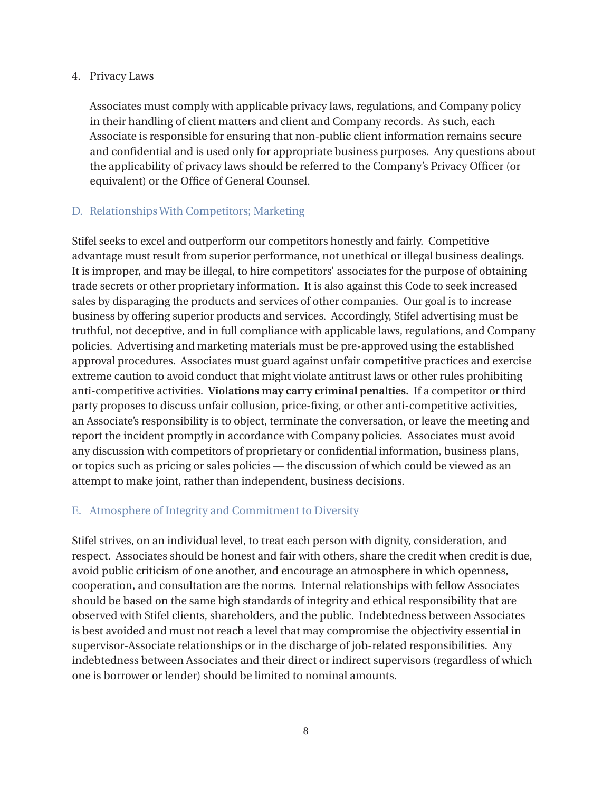### 4. Privacy Laws

Associates must comply with applicable privacy laws, regulations, and Company policy in their handling of client matters and client and Company records. As such, each Associate is responsible for ensuring that non-public client information remains secure and confidential and is used only for appropriate business purposes. Any questions about the applicability of privacy laws should be referred to the Company's Privacy Officer (or equivalent) or the Office of General Counsel.

# D. Relationships With Competitors; Marketing

Stifel seeks to excel and outperform our competitors honestly and fairly. Competitive advantage must result from superior performance, not unethical or illegal business dealings. It is improper, and may be illegal, to hire competitors' associates for the purpose of obtaining trade secrets or other proprietary information. It is also against this Code to seek increased sales by disparaging the products and services of other companies. Our goal is to increase business by offering superior products and services. Accordingly, Stifel advertising must be truthful, not deceptive, and in full compliance with applicable laws, regulations, and Company policies. Advertising and marketing materials must be pre-approved using the established approval procedures. Associates must guard against unfair competitive practices and exercise extreme caution to avoid conduct that might violate antitrust laws or other rules prohibiting anti-competitive activities. **Violations may carry criminal penalties.** If a competitor or third party proposes to discuss unfair collusion, price-fixing, or other anti-competitive activities, an Associate's responsibility is to object, terminate the conversation, or leave the meeting and report the incident promptly in accordance with Company policies. Associates must avoid any discussion with competitors of proprietary or confidential information, business plans, or topics such as pricing or sales policies — the discussion of which could be viewed as an attempt to make joint, rather than independent, business decisions.

# E. Atmosphere of Integrity and Commitment to Diversity

Stifel strives, on an individual level, to treat each person with dignity, consideration, and respect. Associates should be honest and fair with others, share the credit when credit is due, avoid public criticism of one another, and encourage an atmosphere in which openness, cooperation, and consultation are the norms. Internal relationships with fellow Associates should be based on the same high standards of integrity and ethical responsibility that are observed with Stifel clients, shareholders, and the public. Indebtedness between Associates is best avoided and must not reach a level that may compromise the objectivity essential in supervisor-Associate relationships or in the discharge of job-related responsibilities. Any indebtedness between Associates and their direct or indirect supervisors (regardless of which one is borrower or lender) should be limited to nominal amounts.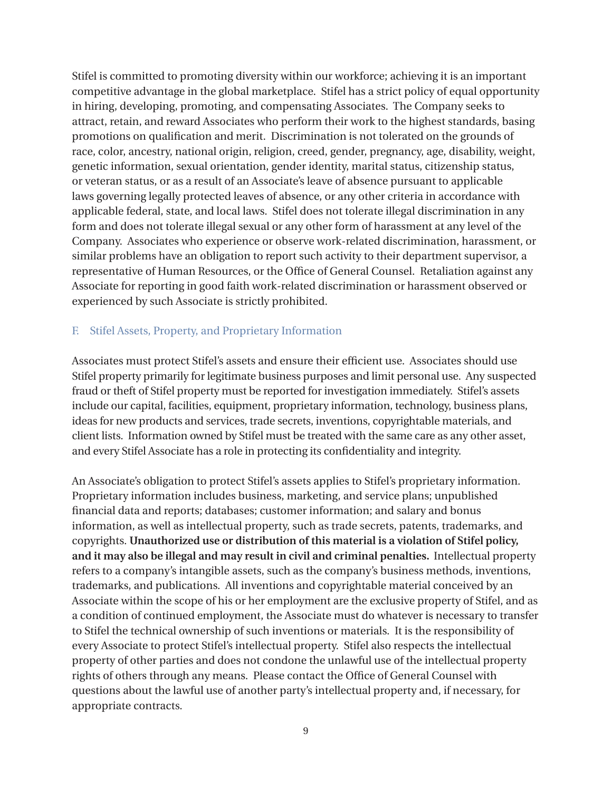Stifel is committed to promoting diversity within our workforce; achieving it is an important competitive advantage in the global marketplace. Stifel has a strict policy of equal opportunity in hiring, developing, promoting, and compensating Associates. The Company seeks to attract, retain, and reward Associates who perform their work to the highest standards, basing promotions on qualification and merit. Discrimination is not tolerated on the grounds of race, color, ancestry, national origin, religion, creed, gender, pregnancy, age, disability, weight, genetic information, sexual orientation, gender identity, marital status, citizenship status, or veteran status, or as a result of an Associate's leave of absence pursuant to applicable laws governing legally protected leaves of absence, or any other criteria in accordance with applicable federal, state, and local laws. Stifel does not tolerate illegal discrimination in any form and does not tolerate illegal sexual or any other form of harassment at any level of the Company. Associates who experience or observe work-related discrimination, harassment, or similar problems have an obligation to report such activity to their department supervisor, a representative of Human Resources, or the Office of General Counsel. Retaliation against any Associate for reporting in good faith work-related discrimination or harassment observed or experienced by such Associate is strictly prohibited.

### F. Stifel Assets, Property, and Proprietary Information

Associates must protect Stifel's assets and ensure their efficient use. Associates should use Stifel property primarily for legitimate business purposes and limit personal use. Any suspected fraud or theft of Stifel property must be reported for investigation immediately. Stifel's assets include our capital, facilities, equipment, proprietary information, technology, business plans, ideas for new products and services, trade secrets, inventions, copyrightable materials, and client lists. Information owned by Stifel must be treated with the same care as any other asset, and every Stifel Associate has a role in protecting its confidentiality and integrity.

An Associate's obligation to protect Stifel's assets applies to Stifel's proprietary information. Proprietary information includes business, marketing, and service plans; unpublished financial data and reports; databases; customer information; and salary and bonus information, as well as intellectual property, such as trade secrets, patents, trademarks, and copyrights. **Unauthorized use or distribution of this material is a violation of Stifel policy, and it may also be illegal and may result in civil and criminal penalties.** Intellectual property refers to a company's intangible assets, such as the company's business methods, inventions, trademarks, and publications. All inventions and copyrightable material conceived by an Associate within the scope of his or her employment are the exclusive property of Stifel, and as a condition of continued employment, the Associate must do whatever is necessary to transfer to Stifel the technical ownership of such inventions or materials. It is the responsibility of every Associate to protect Stifel's intellectual property. Stifel also respects the intellectual property of other parties and does not condone the unlawful use of the intellectual property rights of others through any means. Please contact the Office of General Counsel with questions about the lawful use of another party's intellectual property and, if necessary, for appropriate contracts.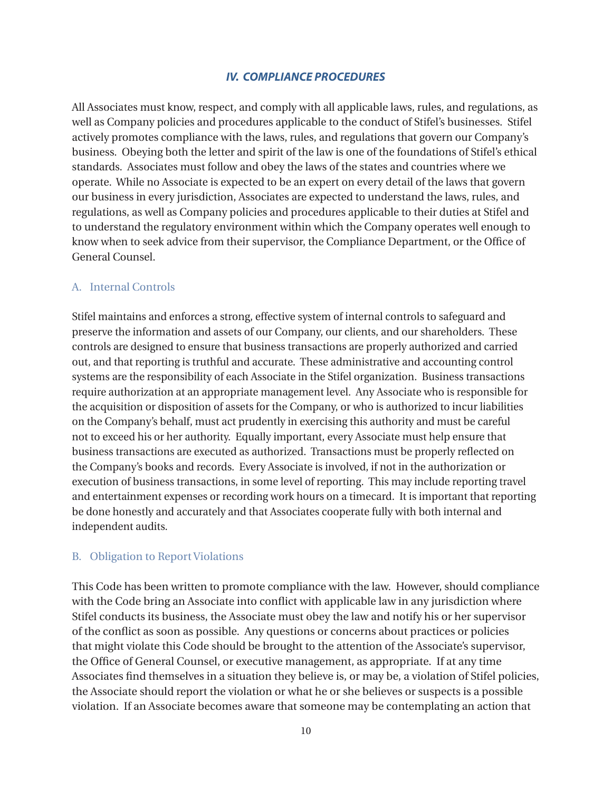### *IV. COMPLIANCE PROCEDURES*

All Associates must know, respect, and comply with all applicable laws, rules, and regulations, as well as Company policies and procedures applicable to the conduct of Stifel's businesses. Stifel actively promotes compliance with the laws, rules, and regulations that govern our Company's business. Obeying both the letter and spirit of the law is one of the foundations of Stifel's ethical standards. Associates must follow and obey the laws of the states and countries where we operate. While no Associate is expected to be an expert on every detail of the laws that govern our business in every jurisdiction, Associates are expected to understand the laws, rules, and regulations, as well as Company policies and procedures applicable to their duties at Stifel and to understand the regulatory environment within which the Company operates well enough to know when to seek advice from their supervisor, the Compliance Department, or the Office of General Counsel.

#### A. Internal Controls

Stifel maintains and enforces a strong, effective system of internal controls to safeguard and preserve the information and assets of our Company, our clients, and our shareholders. These controls are designed to ensure that business transactions are properly authorized and carried out, and that reporting is truthful and accurate. These administrative and accounting control systems are the responsibility of each Associate in the Stifel organization. Business transactions require authorization at an appropriate management level. Any Associate who is responsible for the acquisition or disposition of assets for the Company, or who is authorized to incur liabilities on the Company's behalf, must act prudently in exercising this authority and must be careful not to exceed his or her authority. Equally important, every Associate must help ensure that business transactions are executed as authorized. Transactions must be properly reflected on the Company's books and records. Every Associate is involved, if not in the authorization or execution of business transactions, in some level of reporting. This may include reporting travel and entertainment expenses or recording work hours on a timecard. It is important that reporting be done honestly and accurately and that Associates cooperate fully with both internal and independent audits.

#### B. Obligation to Report Violations

This Code has been written to promote compliance with the law. However, should compliance with the Code bring an Associate into conflict with applicable law in any jurisdiction where Stifel conducts its business, the Associate must obey the law and notify his or her supervisor of the conflict as soon as possible. Any questions or concerns about practices or policies that might violate this Code should be brought to the attention of the Associate's supervisor, the Office of General Counsel, or executive management, as appropriate. If at any time Associates find themselves in a situation they believe is, or may be, a violation of Stifel policies, the Associate should report the violation or what he or she believes or suspects is a possible violation. If an Associate becomes aware that someone may be contemplating an action that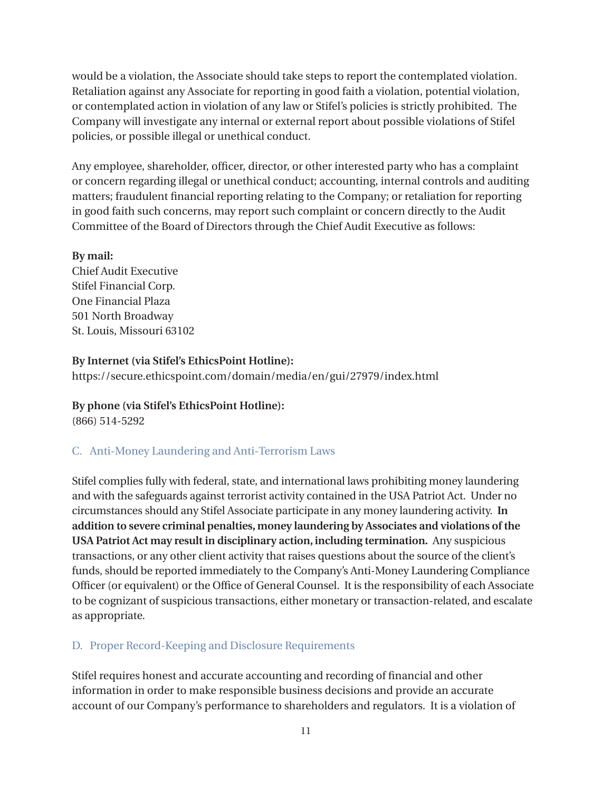would be a violation, the Associate should take steps to report the contemplated violation. Retaliation against any Associate for reporting in good faith a violation, potential violation, or contemplated action in violation of any law or Stifel's policies is strictly prohibited. The Company will investigate any internal or external report about possible violations of Stifel policies, or possible illegal or unethical conduct.

Any employee, shareholder, officer, director, or other interested party who has a complaint or concern regarding illegal or unethical conduct; accounting, internal controls and auditing matters; fraudulent financial reporting relating to the Company; or retaliation for reporting in good faith such concerns, may report such complaint or concern directly to the Audit Committee of the Board of Directors through the Chief Audit Executive as follows:

### **By mail:**

Chief Audit Executive Stifel Financial Corp. One Financial Plaza 501 North Broadway St. Louis, Missouri 63102

## **By Internet (via Stifel's EthicsPoint Hotline):**

https://secure.ethicspoint.com/domain/media/en/gui/27979/index.html

**By phone (via Stifel's EthicsPoint Hotline):** (866) 514-5292

# C. Anti-Money Laundering and Anti-Terrorism Laws

Stifel complies fully with federal, state, and international laws prohibiting money laundering and with the safeguards against terrorist activity contained in the USA Patriot Act. Under no circumstances should any Stifel Associate participate in any money laundering activity. **In addition to severe criminal penalties, money laundering by Associates and violations of the USA Patriot Act may result in disciplinary action, including termination.** Any suspicious transactions, or any other client activity that raises questions about the source of the client's funds, should be reported immediately to the Company's Anti-Money Laundering Compliance Officer (or equivalent) or the Office of General Counsel. It is the responsibility of each Associate to be cognizant of suspicious transactions, either monetary or transaction-related, and escalate as appropriate.

# D. Proper Record-Keeping and Disclosure Requirements

Stifel requires honest and accurate accounting and recording of financial and other information in order to make responsible business decisions and provide an accurate account of our Company's performance to shareholders and regulators. It is a violation of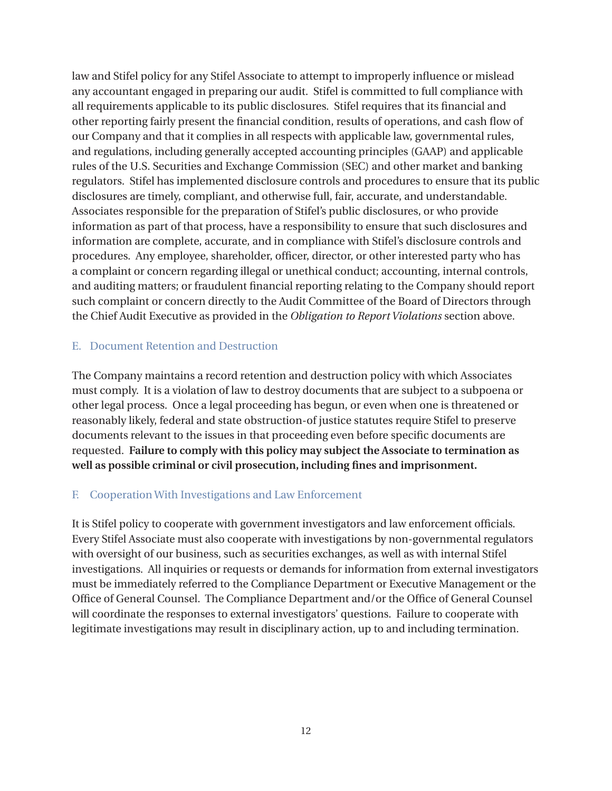law and Stifel policy for any Stifel Associate to attempt to improperly influence or mislead any accountant engaged in preparing our audit. Stifel is committed to full compliance with all requirements applicable to its public disclosures. Stifel requires that its financial and other reporting fairly present the financial condition, results of operations, and cash flow of our Company and that it complies in all respects with applicable law, governmental rules, and regulations, including generally accepted accounting principles (GAAP) and applicable rules of the U.S. Securities and Exchange Commission (SEC) and other market and banking regulators. Stifel has implemented disclosure controls and procedures to ensure that its public disclosures are timely, compliant, and otherwise full, fair, accurate, and understandable. Associates responsible for the preparation of Stifel's public disclosures, or who provide information as part of that process, have a responsibility to ensure that such disclosures and information are complete, accurate, and in compliance with Stifel's disclosure controls and procedures. Any employee, shareholder, officer, director, or other interested party who has a complaint or concern regarding illegal or unethical conduct; accounting, internal controls, and auditing matters; or fraudulent financial reporting relating to the Company should report such complaint or concern directly to the Audit Committee of the Board of Directors through the Chief Audit Executive as provided in the *Obligation to Report Violations* section above.

## E. Document Retention and Destruction

The Company maintains a record retention and destruction policy with which Associates must comply. It is a violation of law to destroy documents that are subject to a subpoena or other legal process. Once a legal proceeding has begun, or even when one is threatened or reasonably likely, federal and state obstruction-of justice statutes require Stifel to preserve documents relevant to the issues in that proceeding even before specific documents are requested. **Failure to comply with this policy may subject the Associate to termination as well as possible criminal or civil prosecution, including fines and imprisonment.**

# F. Cooperation With Investigations and Law Enforcement

It is Stifel policy to cooperate with government investigators and law enforcement officials. Every Stifel Associate must also cooperate with investigations by non-governmental regulators with oversight of our business, such as securities exchanges, as well as with internal Stifel investigations. All inquiries or requests or demands for information from external investigators must be immediately referred to the Compliance Department or Executive Management or the Office of General Counsel. The Compliance Department and/or the Office of General Counsel will coordinate the responses to external investigators' questions. Failure to cooperate with legitimate investigations may result in disciplinary action, up to and including termination.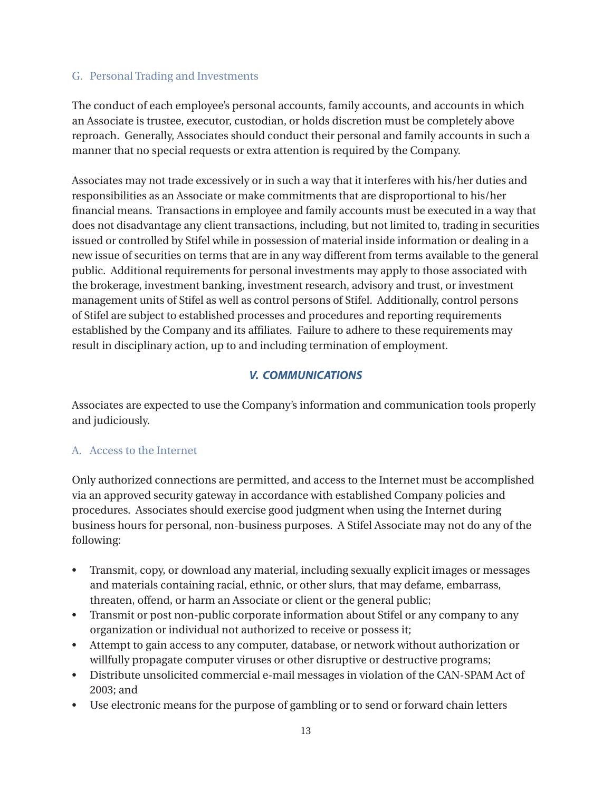## G. Personal Trading and Investments

The conduct of each employee's personal accounts, family accounts, and accounts in which an Associate is trustee, executor, custodian, or holds discretion must be completely above reproach. Generally, Associates should conduct their personal and family accounts in such a manner that no special requests or extra attention is required by the Company.

Associates may not trade excessively or in such a way that it interferes with his/her duties and responsibilities as an Associate or make commitments that are disproportional to his/her financial means. Transactions in employee and family accounts must be executed in a way that does not disadvantage any client transactions, including, but not limited to, trading in securities issued or controlled by Stifel while in possession of material inside information or dealing in a new issue of securities on terms that are in any way different from terms available to the general public. Additional requirements for personal investments may apply to those associated with the brokerage, investment banking, investment research, advisory and trust, or investment management units of Stifel as well as control persons of Stifel. Additionally, control persons of Stifel are subject to established processes and procedures and reporting requirements established by the Company and its affiliates. Failure to adhere to these requirements may result in disciplinary action, up to and including termination of employment.

# *V. COMMUNICATIONS*

Associates are expected to use the Company's information and communication tools properly and judiciously.

# A. Access to the Internet

Only authorized connections are permitted, and access to the Internet must be accomplished via an approved security gateway in accordance with established Company policies and procedures. Associates should exercise good judgment when using the Internet during business hours for personal, non-business purposes. A Stifel Associate may not do any of the following:

- Transmit, copy, or download any material, including sexually explicit images or messages and materials containing racial, ethnic, or other slurs, that may defame, embarrass, threaten, offend, or harm an Associate or client or the general public;
- Transmit or post non-public corporate information about Stifel or any company to any organization or individual not authorized to receive or possess it;
- Attempt to gain access to any computer, database, or network without authorization or willfully propagate computer viruses or other disruptive or destructive programs;
- Distribute unsolicited commercial e-mail messages in violation of the CAN-SPAM Act of 2003; and
- Use electronic means for the purpose of gambling or to send or forward chain letters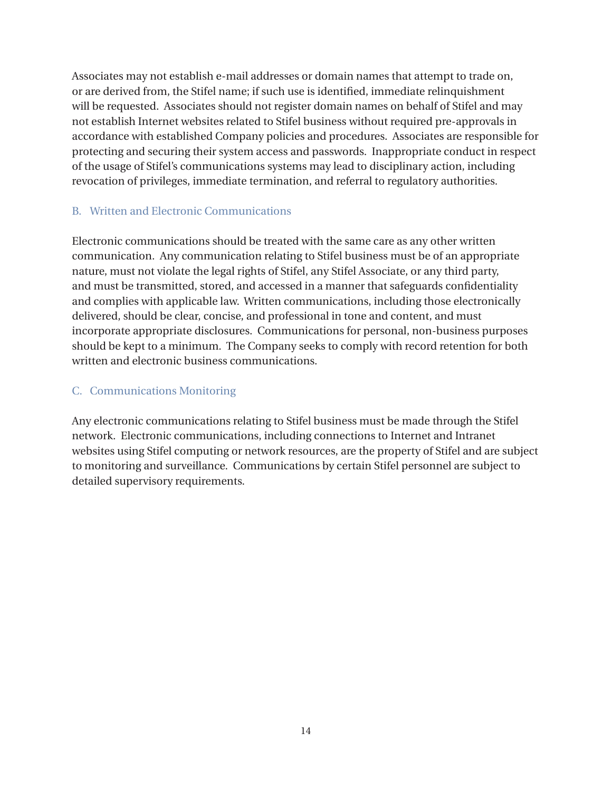Associates may not establish e-mail addresses or domain names that attempt to trade on, or are derived from, the Stifel name; if such use is identified, immediate relinquishment will be requested. Associates should not register domain names on behalf of Stifel and may not establish Internet websites related to Stifel business without required pre-approvals in accordance with established Company policies and procedures. Associates are responsible for protecting and securing their system access and passwords. Inappropriate conduct in respect of the usage of Stifel's communications systems may lead to disciplinary action, including revocation of privileges, immediate termination, and referral to regulatory authorities.

# B. Written and Electronic Communications

Electronic communications should be treated with the same care as any other written communication. Any communication relating to Stifel business must be of an appropriate nature, must not violate the legal rights of Stifel, any Stifel Associate, or any third party, and must be transmitted, stored, and accessed in a manner that safeguards confidentiality and complies with applicable law. Written communications, including those electronically delivered, should be clear, concise, and professional in tone and content, and must incorporate appropriate disclosures. Communications for personal, non-business purposes should be kept to a minimum. The Company seeks to comply with record retention for both written and electronic business communications.

# C. Communications Monitoring

Any electronic communications relating to Stifel business must be made through the Stifel network. Electronic communications, including connections to Internet and Intranet websites using Stifel computing or network resources, are the property of Stifel and are subject to monitoring and surveillance. Communications by certain Stifel personnel are subject to detailed supervisory requirements.